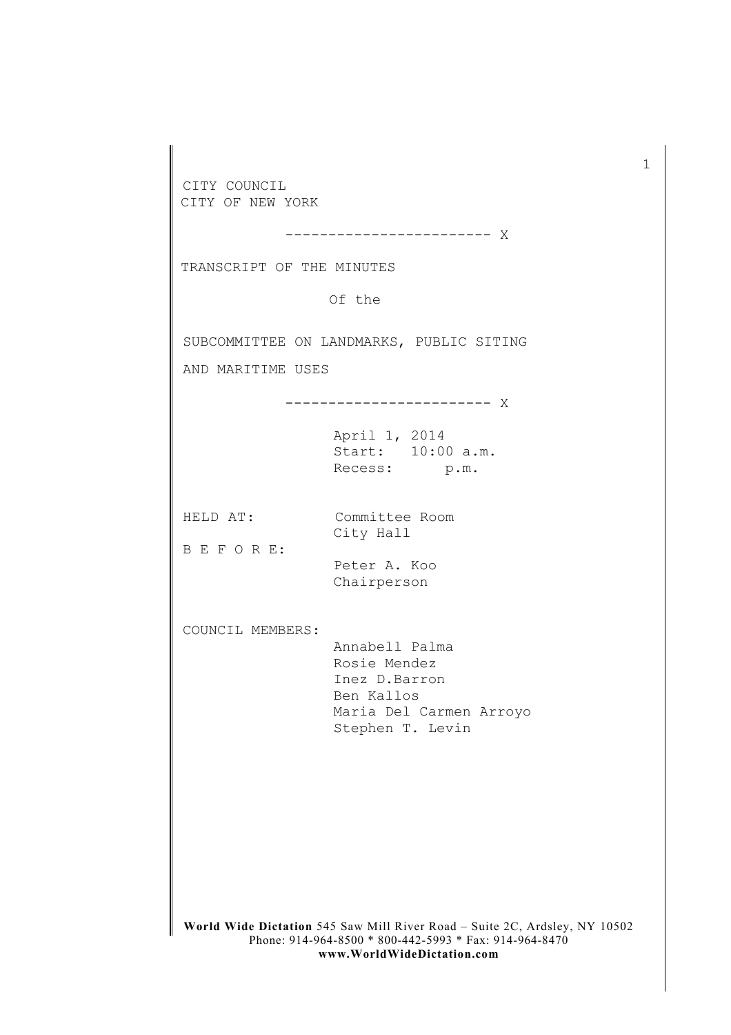CITY COUNCIL CITY OF NEW YORK

------------------------ X

TRANSCRIPT OF THE MINUTES

Of the

SUBCOMMITTEE ON LANDMARKS, PUBLIC SITING

AND MARITIME USES

------------------------ X

April 1, 2014 Start: 10:00 a.m. Recess: p.m.

HELD AT: Committee Room City Hall

B E F O R E:

Peter A. Koo Chairperson

COUNCIL MEMBERS:

Annabell Palma Rosie Mendez Inez D.Barron Ben Kallos Maria Del Carmen Arroyo Stephen T. Levin

**World Wide Dictation** 545 Saw Mill River Road – Suite 2C, Ardsley, NY 10502 Phone: 914-964-8500 \* 800-442-5993 \* Fax: 914-964-8470 **www.WorldWideDictation.com**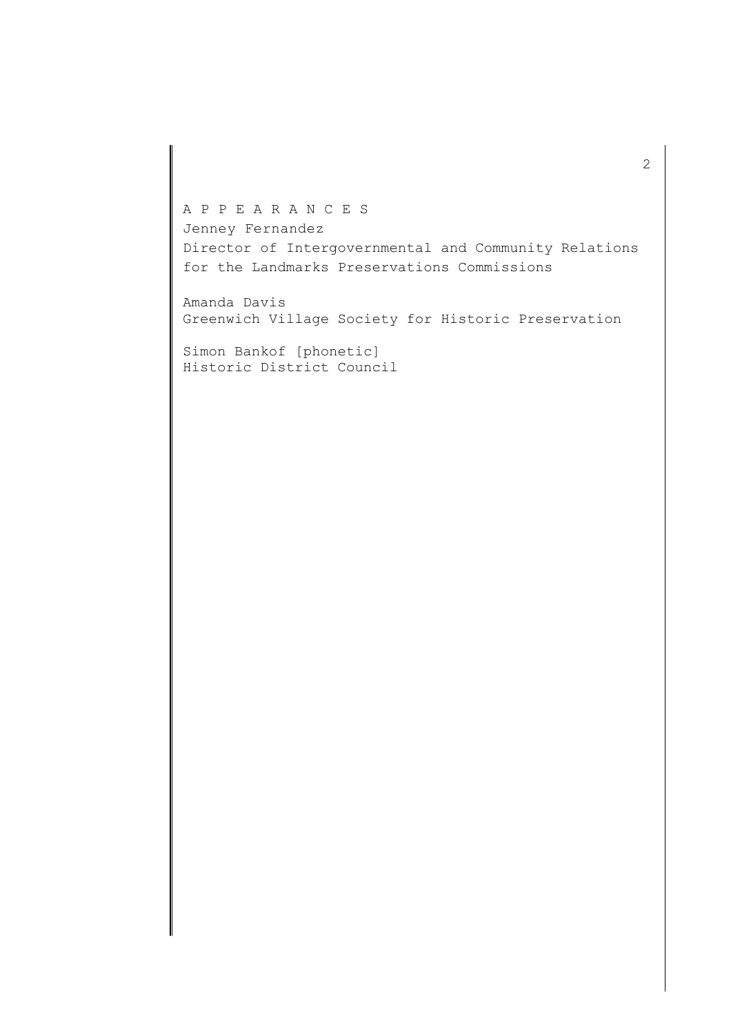## A P P E A R A N C E S

Jenney Fernandez Director of Intergovernmental and Community Relations for the Landmarks Preservations Commissions

Amanda Davis Greenwich Village Society for Historic Preservation

Simon Bankof [phonetic] Historic District Council 2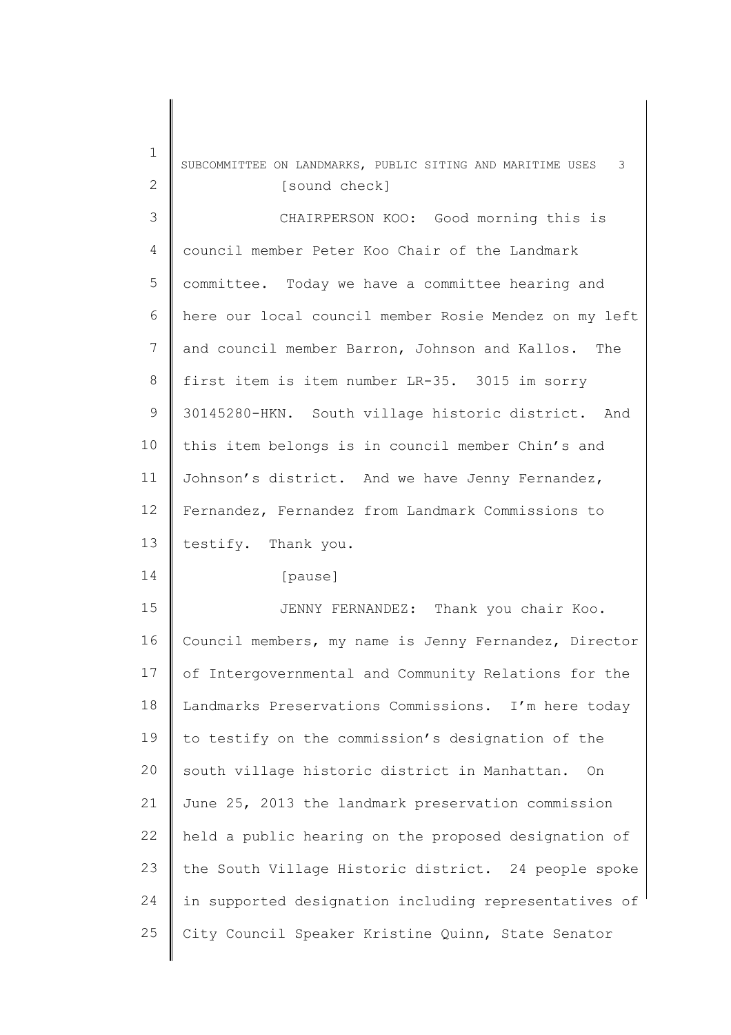| $\mathbf 1$ | SUBCOMMITTEE ON LANDMARKS, PUBLIC SITING AND MARITIME USES 3 |
|-------------|--------------------------------------------------------------|
| 2           | [sound check]                                                |
| 3           | CHAIRPERSON KOO: Good morning this is                        |
| 4           | council member Peter Koo Chair of the Landmark               |
| 5           | committee. Today we have a committee hearing and             |
| 6           | here our local council member Rosie Mendez on my left        |
| 7           | and council member Barron, Johnson and Kallos. The           |
| 8           | first item is item number LR-35. 3015 im sorry               |
| 9           | 30145280-HKN. South village historic district. And           |
| 10          | this item belongs is in council member Chin's and            |
| 11          | Johnson's district. And we have Jenny Fernandez,             |
| 12          | Fernandez, Fernandez from Landmark Commissions to            |
| 13          | testify. Thank you.                                          |
| 14          | [pause]                                                      |
| 15          | JENNY FERNANDEZ: Thank you chair Koo.                        |
| 16          | Council members, my name is Jenny Fernandez, Director        |
| 17          | of Intergovernmental and Community Relations for the         |
| 18          | Landmarks Preservations Commissions. I'm here today          |
| 19          | to testify on the commission's designation of the            |
| 20          | south village historic district in Manhattan.<br>On          |
| 21          | June 25, 2013 the landmark preservation commission           |
| 22          | held a public hearing on the proposed designation of         |
| 23          | the South Village Historic district. 24 people spoke         |
| 24          | in supported designation including representatives of        |
| 25          | City Council Speaker Kristine Quinn, State Senator           |
|             |                                                              |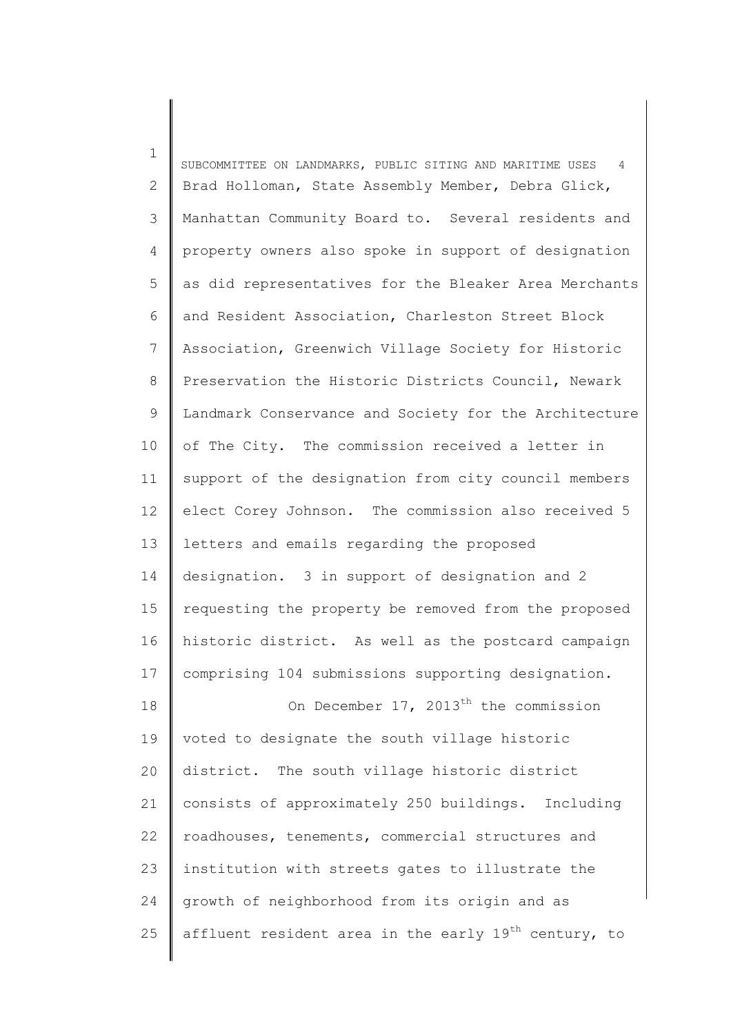1 2 3 4 5 6 7 8 9 10 11 12 13 14 15 16 17 18 19 20 21 22 23 24 SUBCOMMITTEE ON LANDMARKS, PUBLIC SITING AND MARITIME USES 4 Brad Holloman, State Assembly Member, Debra Glick, Manhattan Community Board to. Several residents and property owners also spoke in support of designation as did representatives for the Bleaker Area Merchants and Resident Association, Charleston Street Block Association, Greenwich Village Society for Historic Preservation the Historic Districts Council, Newark Landmark Conservance and Society for the Architecture of The City. The commission received a letter in support of the designation from city council members elect Corey Johnson. The commission also received 5 letters and emails regarding the proposed designation. 3 in support of designation and 2 requesting the property be removed from the proposed historic district. As well as the postcard campaign comprising 104 submissions supporting designation. On December 17, 2013<sup>th</sup> the commission voted to designate the south village historic district. The south village historic district consists of approximately 250 buildings. Including roadhouses, tenements, commercial structures and institution with streets gates to illustrate the growth of neighborhood from its origin and as

affluent resident area in the early  $19<sup>th</sup>$  century, to

25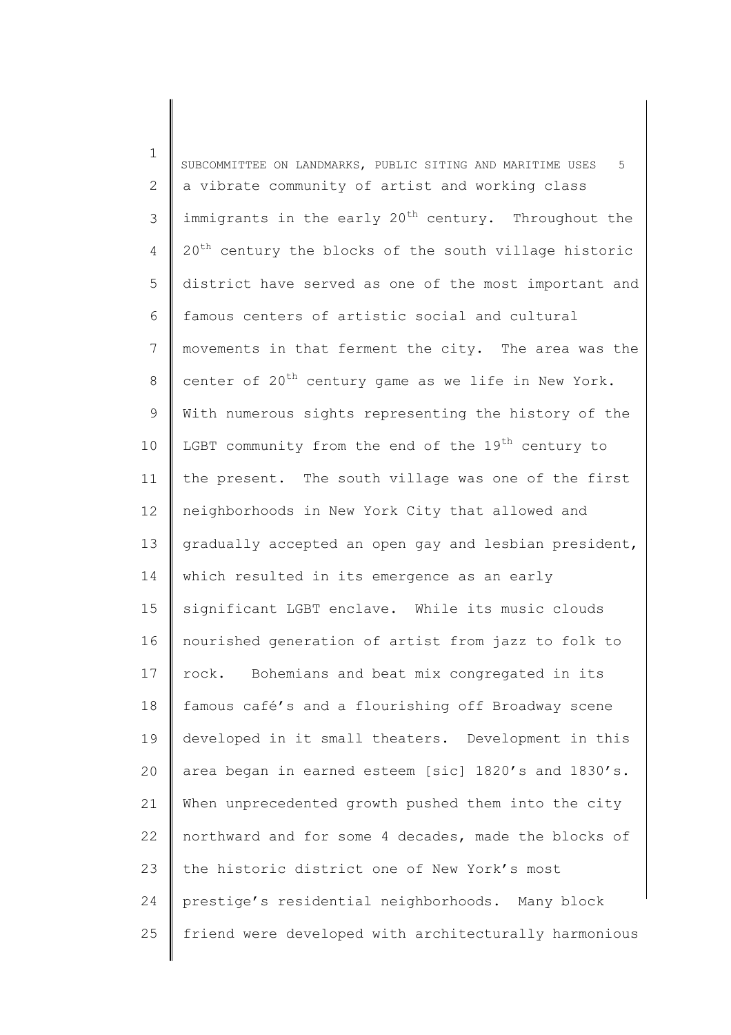1 2 3 4 5 6 7 8 9 10 11 12 13 14 15 16 17 18 19 20 21 22 23 24 25 SUBCOMMITTEE ON LANDMARKS, PUBLIC SITING AND MARITIME USES 5 a vibrate community of artist and working class immigrants in the early  $20<sup>th</sup>$  century. Throughout the 20<sup>th</sup> century the blocks of the south village historic district have served as one of the most important and famous centers of artistic social and cultural movements in that ferment the city. The area was the center of  $20^{th}$  century game as we life in New York. With numerous sights representing the history of the LGBT community from the end of the  $19<sup>th</sup>$  century to the present. The south village was one of the first neighborhoods in New York City that allowed and gradually accepted an open gay and lesbian president, which resulted in its emergence as an early significant LGBT enclave. While its music clouds nourished generation of artist from jazz to folk to rock. Bohemians and beat mix congregated in its famous café's and a flourishing off Broadway scene developed in it small theaters. Development in this area began in earned esteem [sic] 1820's and 1830's. When unprecedented growth pushed them into the city northward and for some 4 decades, made the blocks of the historic district one of New York's most prestige's residential neighborhoods. Many block friend were developed with architecturally harmonious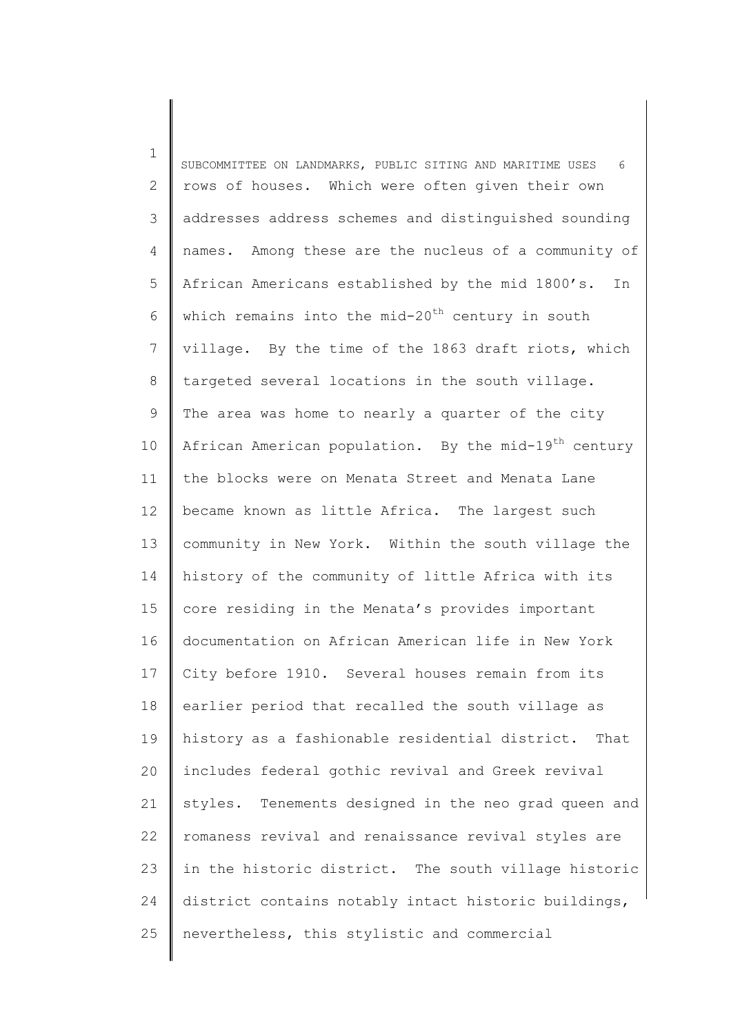1 2 3 4 5 6 7 8 9 10 11 12 13 14 15 16 17 18 19 20 21 22 23 24 25 SUBCOMMITTEE ON LANDMARKS, PUBLIC SITING AND MARITIME USES 6 rows of houses. Which were often given their own addresses address schemes and distinguished sounding names. Among these are the nucleus of a community of African Americans established by the mid 1800's. In which remains into the mid-20<sup>th</sup> century in south village. By the time of the 1863 draft riots, which targeted several locations in the south village. The area was home to nearly a quarter of the city African American population. By the mid-19<sup>th</sup> century the blocks were on Menata Street and Menata Lane became known as little Africa. The largest such community in New York. Within the south village the history of the community of little Africa with its core residing in the Menata's provides important documentation on African American life in New York City before 1910. Several houses remain from its earlier period that recalled the south village as history as a fashionable residential district. That includes federal gothic revival and Greek revival styles. Tenements designed in the neo grad queen and romaness revival and renaissance revival styles are in the historic district. The south village historic district contains notably intact historic buildings, nevertheless, this stylistic and commercial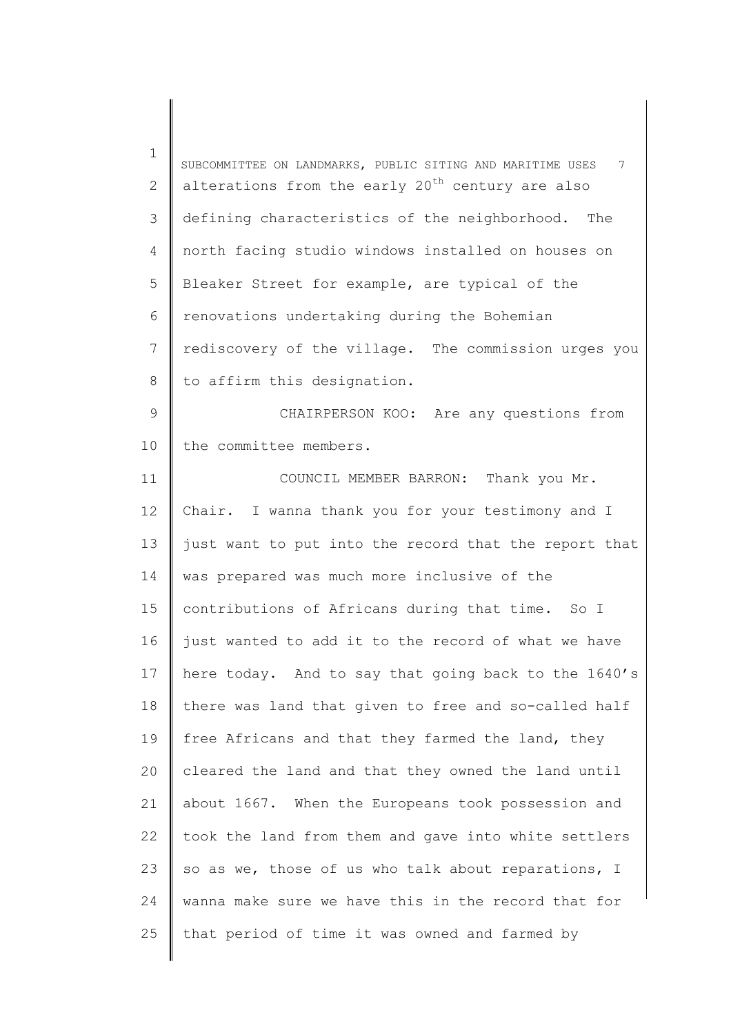1 2 3 4 5 6 7 8 9 10 11 12 13 14 15 16 17 18 19 20 21 22 23 24 25 SUBCOMMITTEE ON LANDMARKS, PUBLIC SITING AND MARITIME USES 7 alterations from the early  $20<sup>th</sup>$  century are also defining characteristics of the neighborhood. The north facing studio windows installed on houses on Bleaker Street for example, are typical of the renovations undertaking during the Bohemian rediscovery of the village. The commission urges you to affirm this designation. CHAIRPERSON KOO: Are any questions from the committee members. COUNCIL MEMBER BARRON: Thank you Mr. Chair. I wanna thank you for your testimony and I just want to put into the record that the report that was prepared was much more inclusive of the contributions of Africans during that time. So I just wanted to add it to the record of what we have here today. And to say that going back to the 1640's there was land that given to free and so-called half free Africans and that they farmed the land, they cleared the land and that they owned the land until about 1667. When the Europeans took possession and took the land from them and gave into white settlers so as we, those of us who talk about reparations, I wanna make sure we have this in the record that for that period of time it was owned and farmed by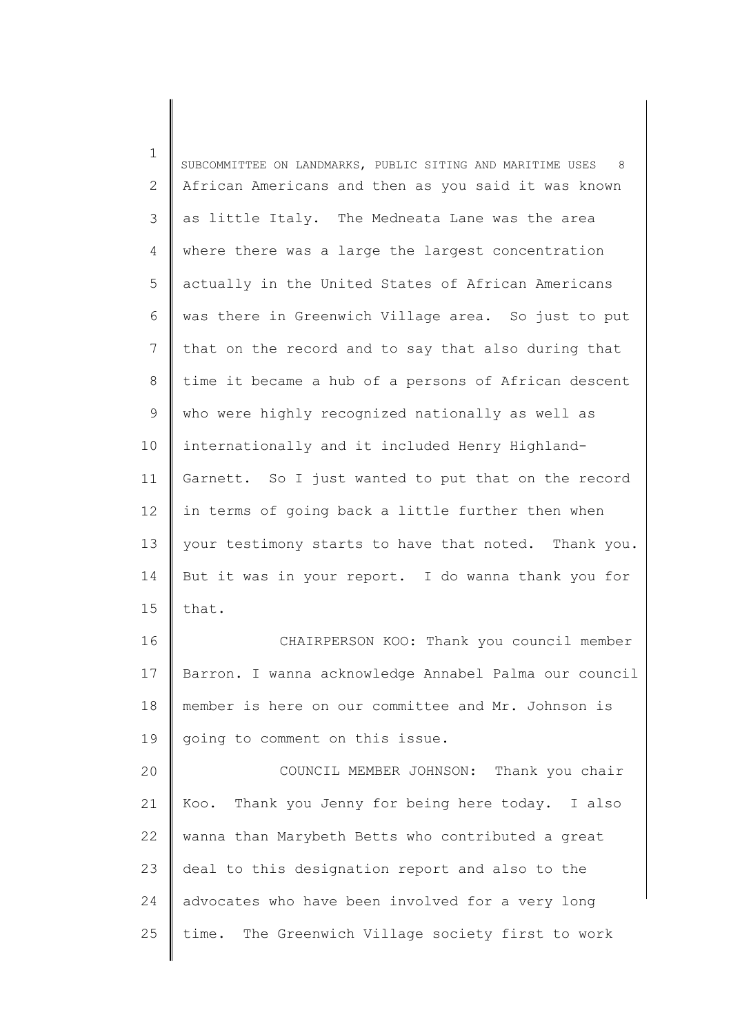1 2 3 4 5 6 7 8 9 10 11 12 13 14 15 16 17 SUBCOMMITTEE ON LANDMARKS, PUBLIC SITING AND MARITIME USES 8 African Americans and then as you said it was known as little Italy. The Medneata Lane was the area where there was a large the largest concentration actually in the United States of African Americans was there in Greenwich Village area. So just to put that on the record and to say that also during that time it became a hub of a persons of African descent who were highly recognized nationally as well as internationally and it included Henry Highland-Garnett. So I just wanted to put that on the record in terms of going back a little further then when your testimony starts to have that noted. Thank you. But it was in your report. I do wanna thank you for that. CHAIRPERSON KOO: Thank you council member Barron. I wanna acknowledge Annabel Palma our council

18 19 member is here on our committee and Mr. Johnson is going to comment on this issue.

20 21 22 23 24 25 COUNCIL MEMBER JOHNSON: Thank you chair Koo. Thank you Jenny for being here today. I also wanna than Marybeth Betts who contributed a great deal to this designation report and also to the advocates who have been involved for a very long time. The Greenwich Village society first to work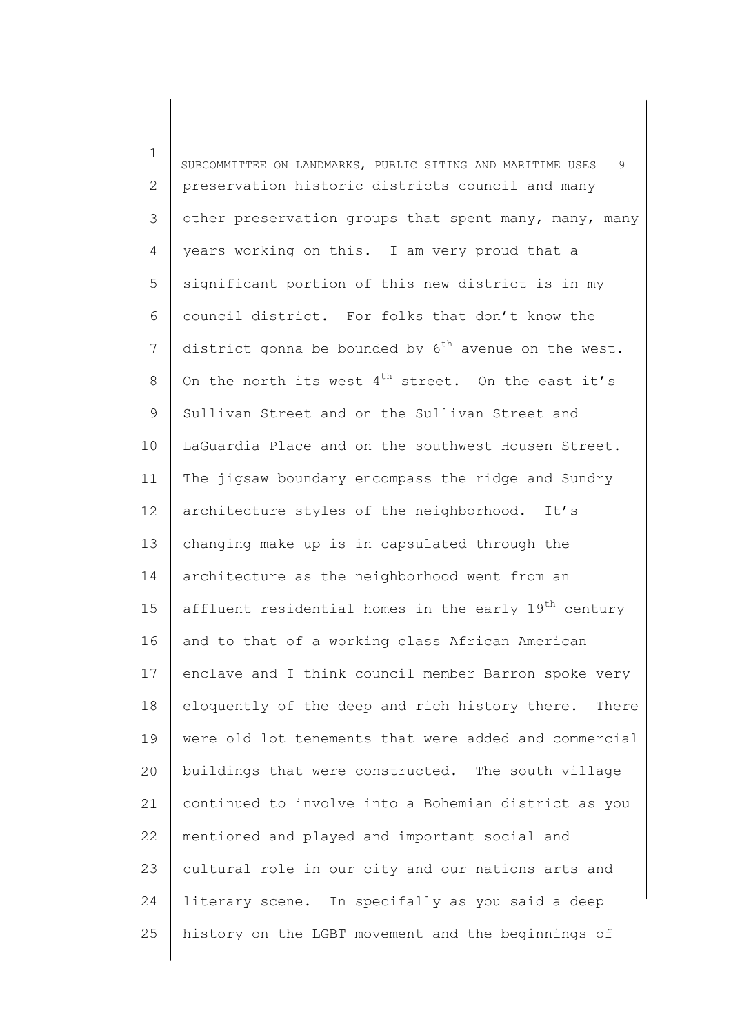1 2 3 4 5 6 7 8 9 10 11 12 13 14 15 16 17 18 19 20 21 22 23 24 25 SUBCOMMITTEE ON LANDMARKS, PUBLIC SITING AND MARITIME USES 9 preservation historic districts council and many other preservation groups that spent many, many, many years working on this. I am very proud that a significant portion of this new district is in my council district. For folks that don't know the district gonna be bounded by  $6^{th}$  avenue on the west. On the north its west  $4^{th}$  street. On the east it's Sullivan Street and on the Sullivan Street and LaGuardia Place and on the southwest Housen Street. The jigsaw boundary encompass the ridge and Sundry architecture styles of the neighborhood. It's changing make up is in capsulated through the architecture as the neighborhood went from an affluent residential homes in the early 19<sup>th</sup> century and to that of a working class African American enclave and I think council member Barron spoke very eloquently of the deep and rich history there. There were old lot tenements that were added and commercial buildings that were constructed. The south village continued to involve into a Bohemian district as you mentioned and played and important social and cultural role in our city and our nations arts and literary scene. In specifally as you said a deep history on the LGBT movement and the beginnings of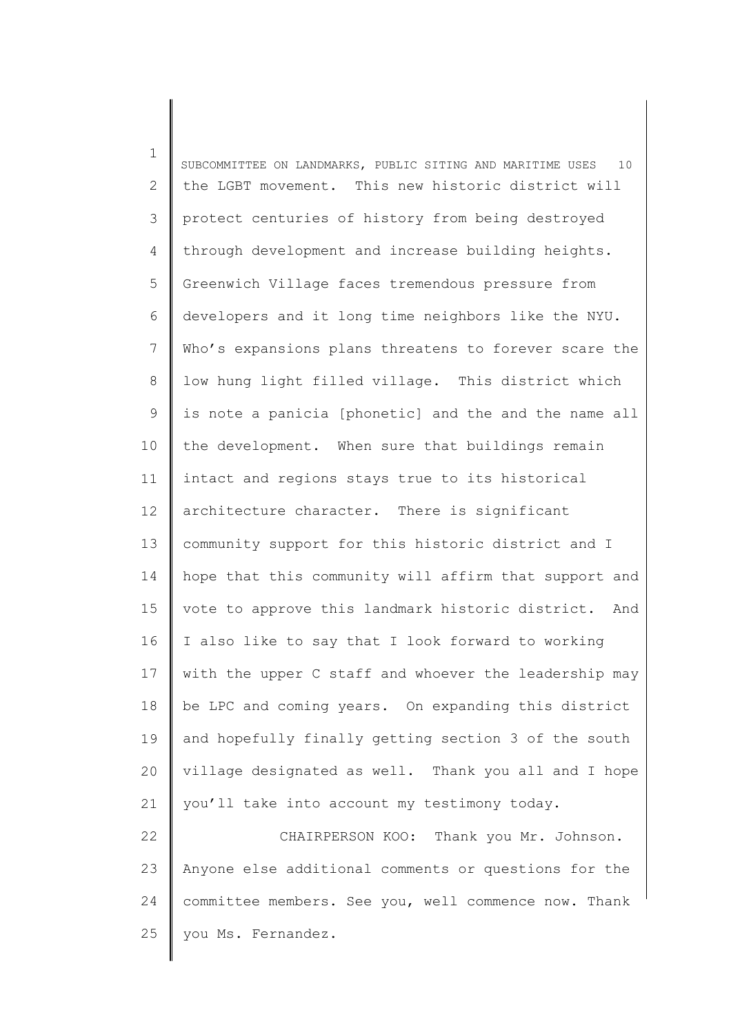1 2 3 4 5 6 7 8 9 10 11 12 13 14 15 16 17 18 19 20 21 22 SUBCOMMITTEE ON LANDMARKS, PUBLIC SITING AND MARITIME USES 10 the LGBT movement. This new historic district will protect centuries of history from being destroyed through development and increase building heights. Greenwich Village faces tremendous pressure from developers and it long time neighbors like the NYU. Who's expansions plans threatens to forever scare the low hung light filled village. This district which is note a panicia [phonetic] and the and the name all the development. When sure that buildings remain intact and regions stays true to its historical architecture character. There is significant community support for this historic district and I hope that this community will affirm that support and vote to approve this landmark historic district. And I also like to say that I look forward to working with the upper C staff and whoever the leadership may be LPC and coming years. On expanding this district and hopefully finally getting section 3 of the south village designated as well. Thank you all and I hope you'll take into account my testimony today. CHAIRPERSON KOO: Thank you Mr. Johnson.

23 24 25 Anyone else additional comments or questions for the committee members. See you, well commence now. Thank you Ms. Fernandez.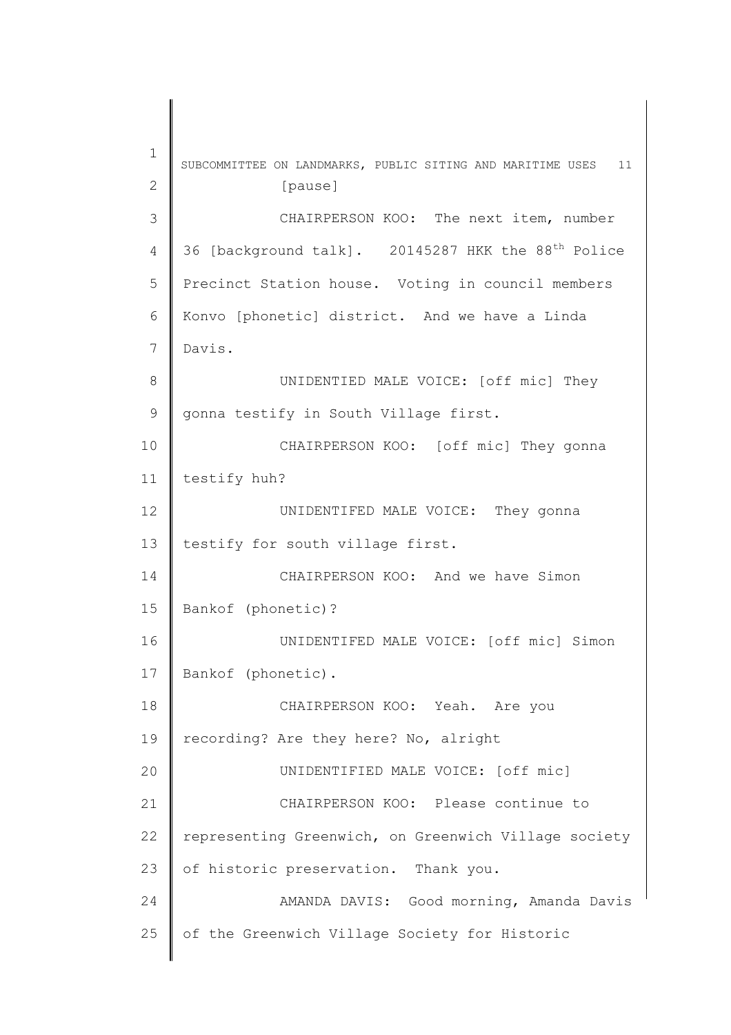1 2 3 4 5 6 7 8 9 10 11 12 13 14 15 16 17 18 19 20 21 22 23 24 25 SUBCOMMITTEE ON LANDMARKS, PUBLIC SITING AND MARITIME USES 11 [pause] CHAIRPERSON KOO: The next item, number 36 [background talk]. 20145287 HKK the 88<sup>th</sup> Police Precinct Station house. Voting in council members Konvo [phonetic] district. And we have a Linda Davis. UNIDENTIED MALE VOICE: [off mic] They gonna testify in South Village first. CHAIRPERSON KOO: [off mic] They gonna testify huh? UNIDENTIFED MALE VOICE: They gonna testify for south village first. CHAIRPERSON KOO: And we have Simon Bankof (phonetic)? UNIDENTIFED MALE VOICE: [off mic] Simon Bankof (phonetic). CHAIRPERSON KOO: Yeah. Are you recording? Are they here? No, alright UNIDENTIFIED MALE VOICE: [off mic] CHAIRPERSON KOO: Please continue to representing Greenwich, on Greenwich Village society of historic preservation. Thank you. AMANDA DAVIS: Good morning, Amanda Davis of the Greenwich Village Society for Historic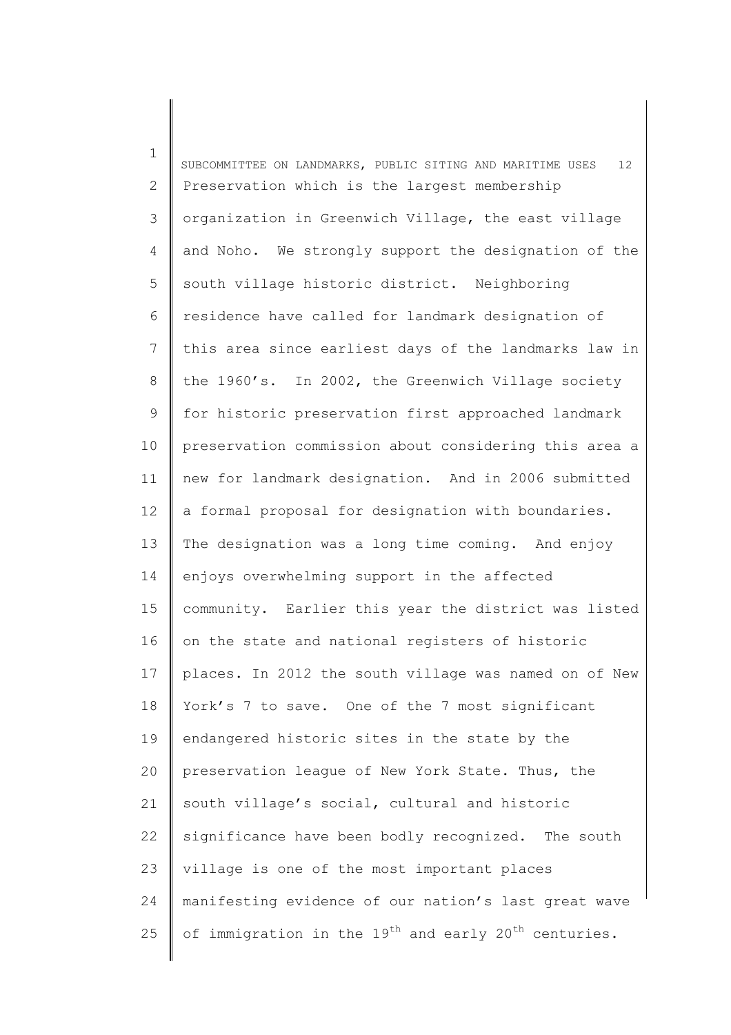1 2 3 4 5 6 7 8 9 10 11 12 13 14 15 16 17 18 19 20 21 22 23 24 25 SUBCOMMITTEE ON LANDMARKS, PUBLIC SITING AND MARITIME USES 12 Preservation which is the largest membership organization in Greenwich Village, the east village and Noho. We strongly support the designation of the south village historic district. Neighboring residence have called for landmark designation of this area since earliest days of the landmarks law in the 1960's. In 2002, the Greenwich Village society for historic preservation first approached landmark preservation commission about considering this area a new for landmark designation. And in 2006 submitted a formal proposal for designation with boundaries. The designation was a long time coming. And enjoy enjoys overwhelming support in the affected community. Earlier this year the district was listed on the state and national registers of historic places. In 2012 the south village was named on of New York's 7 to save. One of the 7 most significant endangered historic sites in the state by the preservation league of New York State. Thus, the south village's social, cultural and historic significance have been bodly recognized. The south village is one of the most important places manifesting evidence of our nation's last great wave of immigration in the  $19^{th}$  and early  $20^{th}$  centuries.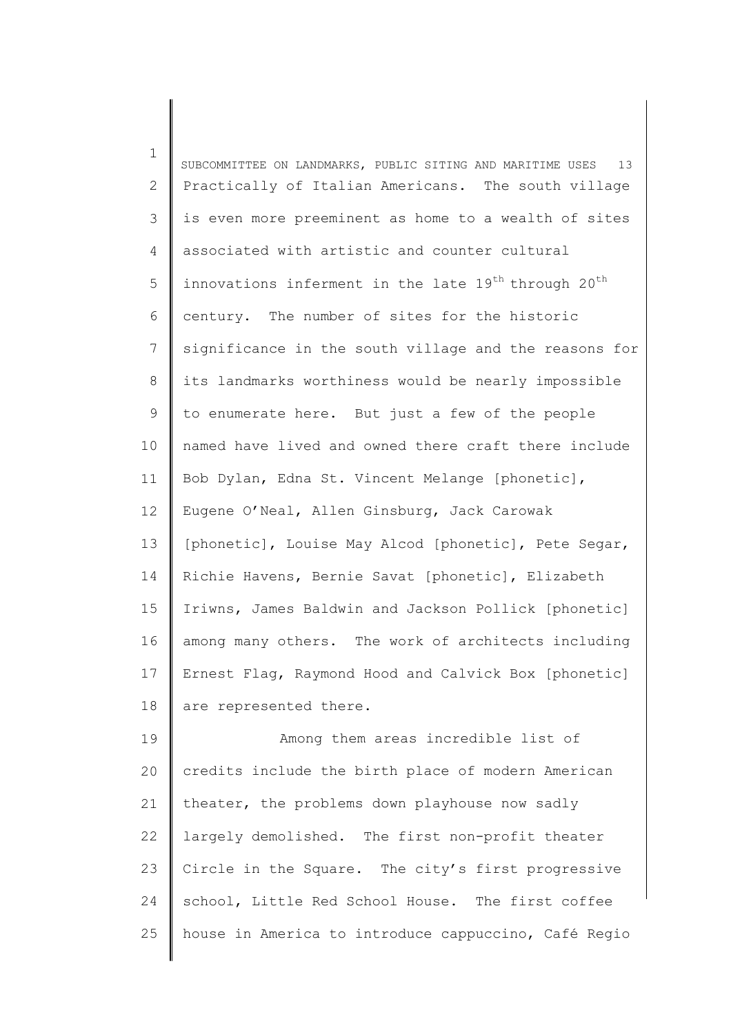1 2 3 4 5 6 7 8 9 10 11 12 13 14 15 16 17 18 SUBCOMMITTEE ON LANDMARKS, PUBLIC SITING AND MARITIME USES 13 Practically of Italian Americans. The south village is even more preeminent as home to a wealth of sites associated with artistic and counter cultural innovations inferment in the late  $19^{th}$  through  $20^{th}$ century. The number of sites for the historic significance in the south village and the reasons for its landmarks worthiness would be nearly impossible to enumerate here. But just a few of the people named have lived and owned there craft there include Bob Dylan, Edna St. Vincent Melange [phonetic], Eugene O'Neal, Allen Ginsburg, Jack Carowak [phonetic], Louise May Alcod [phonetic], Pete Segar, Richie Havens, Bernie Savat [phonetic], Elizabeth Iriwns, James Baldwin and Jackson Pollick [phonetic] among many others. The work of architects including Ernest Flag, Raymond Hood and Calvick Box [phonetic] are represented there.

19 20 21 22 23 24 25 Among them areas incredible list of credits include the birth place of modern American theater, the problems down playhouse now sadly largely demolished. The first non-profit theater Circle in the Square. The city's first progressive school, Little Red School House. The first coffee house in America to introduce cappuccino, Café Regio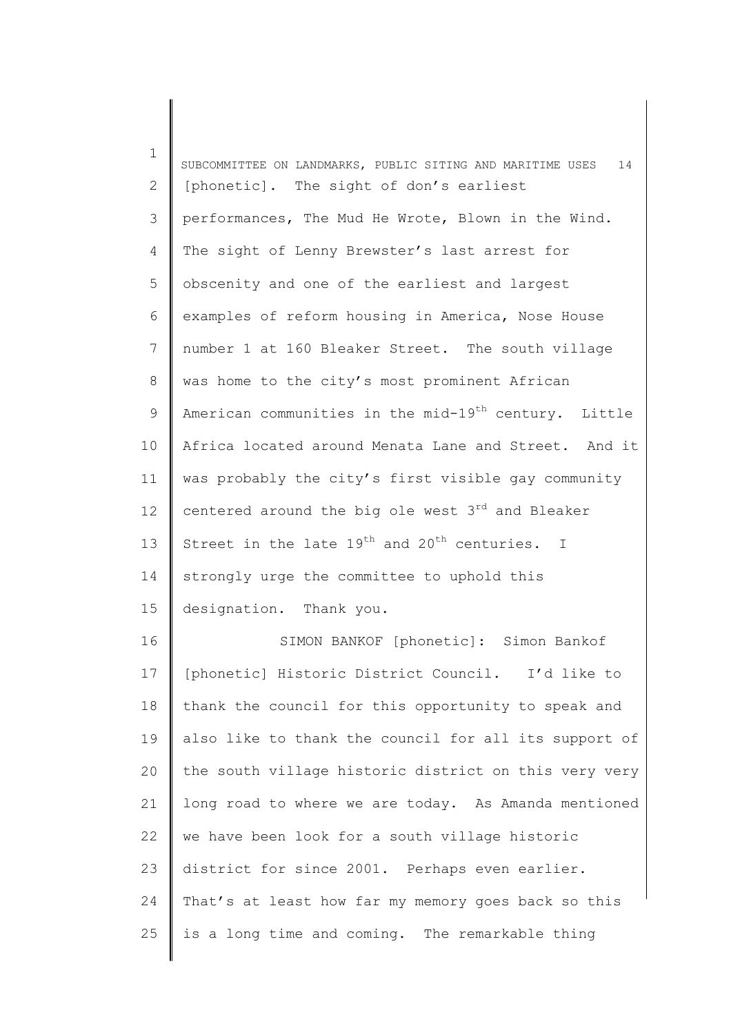1 2 3 4 5 6 7 8 9 10 11 12 13 14 15 16 17 18 SUBCOMMITTEE ON LANDMARKS, PUBLIC SITING AND MARITIME USES 14 [phonetic]. The sight of don's earliest performances, The Mud He Wrote, Blown in the Wind. The sight of Lenny Brewster's last arrest for obscenity and one of the earliest and largest examples of reform housing in America, Nose House number 1 at 160 Bleaker Street. The south village was home to the city's most prominent African American communities in the mid-19<sup>th</sup> century. Little Africa located around Menata Lane and Street. And it was probably the city's first visible gay community centered around the big ole west 3<sup>rd</sup> and Bleaker Street in the late  $19^{th}$  and  $20^{th}$  centuries. I strongly urge the committee to uphold this designation. Thank you. SIMON BANKOF [phonetic]: Simon Bankof [phonetic] Historic District Council. I'd like to thank the council for this opportunity to speak and

19 20 21 22 23 24 25 also like to thank the council for all its support of the south village historic district on this very very long road to where we are today. As Amanda mentioned we have been look for a south village historic district for since 2001. Perhaps even earlier. That's at least how far my memory goes back so this is a long time and coming. The remarkable thing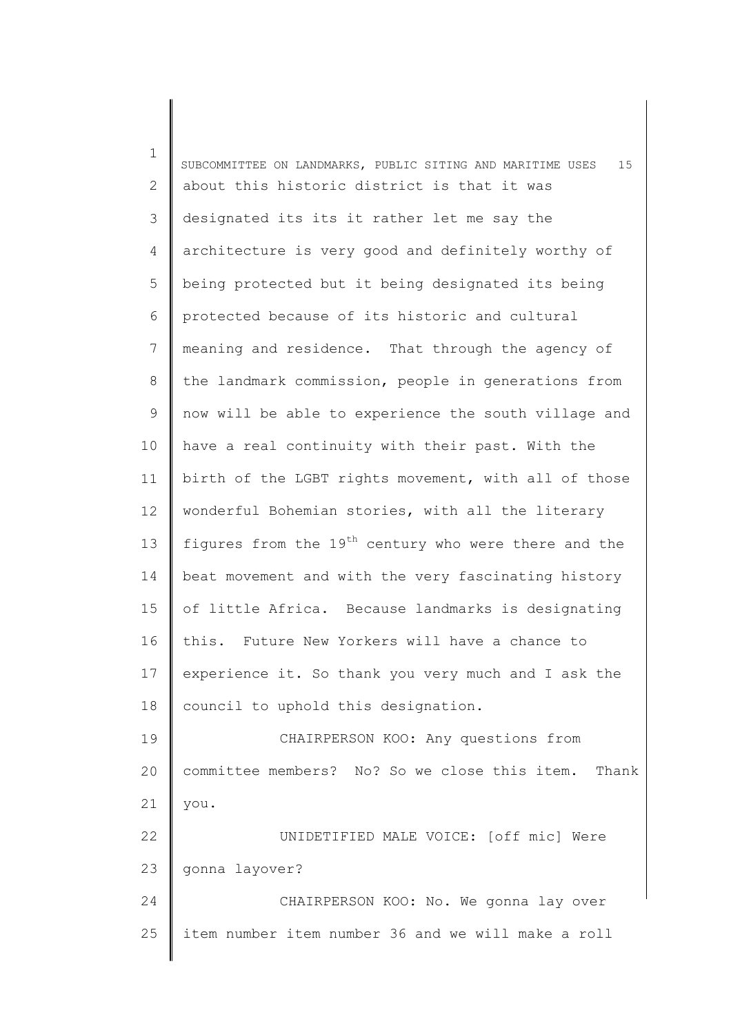1 2 3 4 5 6 7 8 9 10 11 12 13 14 15 16 17 18 19 20 21 22 23 24 25 SUBCOMMITTEE ON LANDMARKS, PUBLIC SITING AND MARITIME USES 15 about this historic district is that it was designated its its it rather let me say the architecture is very good and definitely worthy of being protected but it being designated its being protected because of its historic and cultural meaning and residence. That through the agency of the landmark commission, people in generations from now will be able to experience the south village and have a real continuity with their past. With the birth of the LGBT rights movement, with all of those wonderful Bohemian stories, with all the literary figures from the  $19<sup>th</sup>$  century who were there and the beat movement and with the very fascinating history of little Africa. Because landmarks is designating this. Future New Yorkers will have a chance to experience it. So thank you very much and I ask the council to uphold this designation. CHAIRPERSON KOO: Any questions from committee members? No? So we close this item. Thank you. UNIDETIFIED MALE VOICE: [off mic] Were gonna layover? CHAIRPERSON KOO: No. We gonna lay over item number item number 36 and we will make a roll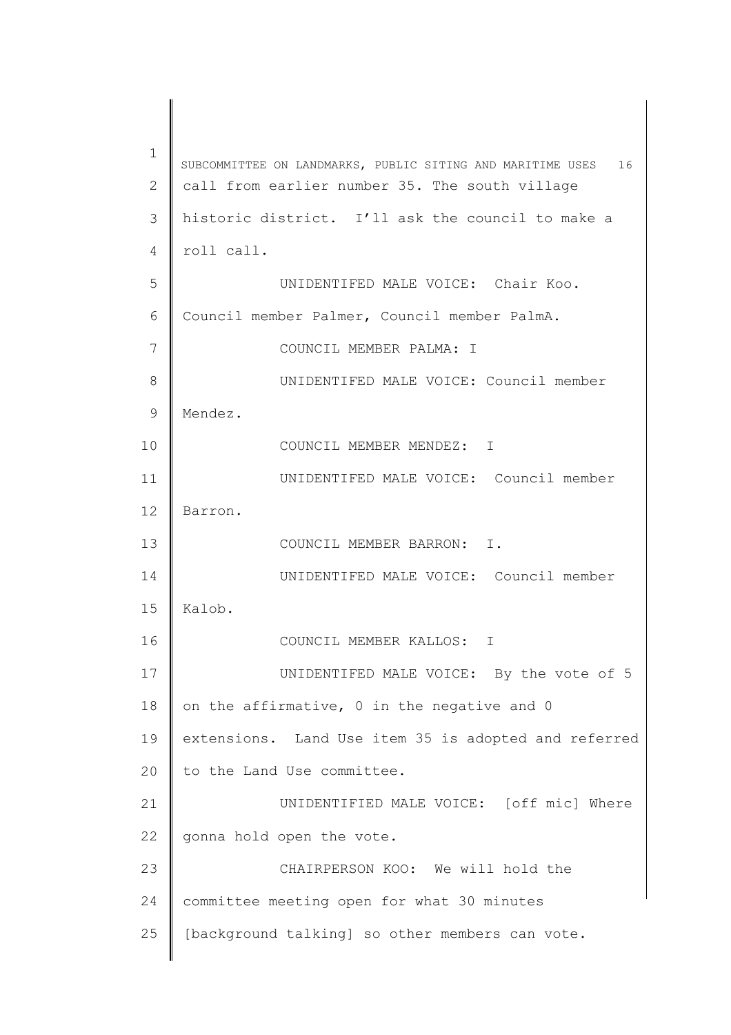1 2 3 4 5 6 7 8 9 10 11 12 13 14 15 16 17 18 19 20 21 22 23 24 25 SUBCOMMITTEE ON LANDMARKS, PUBLIC SITING AND MARITIME USES 16 call from earlier number 35. The south village historic district. I'll ask the council to make a roll call. UNIDENTIFED MALE VOICE: Chair Koo. Council member Palmer, Council member PalmA. COUNCIL MEMBER PALMA: I UNIDENTIFED MALE VOICE: Council member Mendez. COUNCIL MEMBER MENDEZ: I UNIDENTIFED MALE VOICE: Council member Barron. COUNCIL MEMBER BARRON: I. UNIDENTIFED MALE VOICE: Council member Kalob. COUNCIL MEMBER KALLOS: I UNIDENTIFED MALE VOICE: By the vote of 5 on the affirmative, 0 in the negative and 0 extensions. Land Use item 35 is adopted and referred to the Land Use committee. UNIDENTIFIED MALE VOICE: [off mic] Where gonna hold open the vote. CHAIRPERSON KOO: We will hold the committee meeting open for what 30 minutes [background talking] so other members can vote.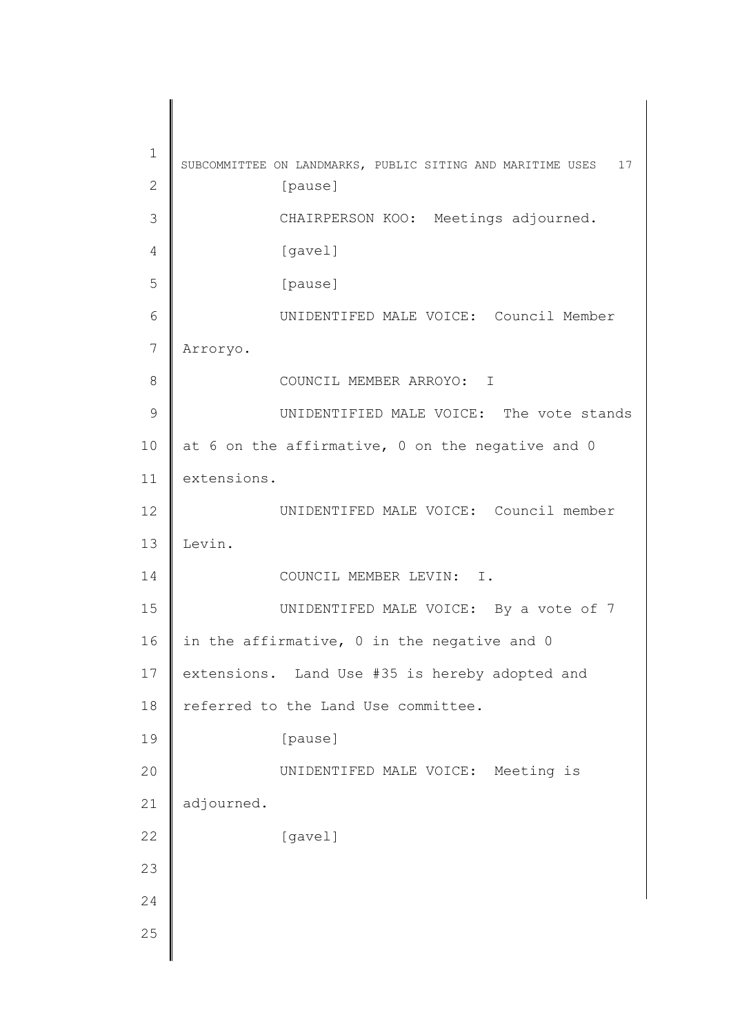1 2 3 4 5 6 7 8 9 10 11 12 13 14 15 16 17 18 19 20 21 22 23 24 25 SUBCOMMITTEE ON LANDMARKS, PUBLIC SITING AND MARITIME USES 17 [pause] CHAIRPERSON KOO: Meetings adjourned. [gavel] [pause] UNIDENTIFED MALE VOICE: Council Member Arroryo. COUNCIL MEMBER ARROYO: I UNIDENTIFIED MALE VOICE: The vote stands at 6 on the affirmative, 0 on the negative and 0 extensions. UNIDENTIFED MALE VOICE: Council member Levin. COUNCIL MEMBER LEVIN: I. UNIDENTIFED MALE VOICE: By a vote of 7 in the affirmative, 0 in the negative and 0 extensions. Land Use #35 is hereby adopted and referred to the Land Use committee. [pause] UNIDENTIFED MALE VOICE: Meeting is adjourned. [gavel]